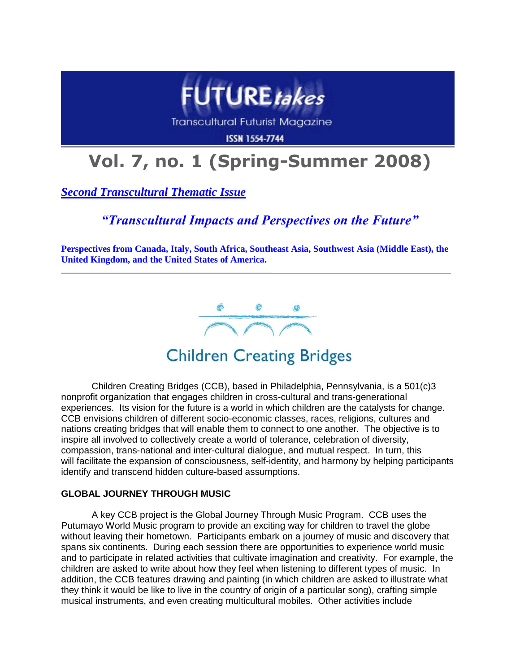

**Transcultural Futurist Magazine** 

**ISSN 1554-7744** 

# **Vol. 7, no. 1 (Spring-Summer 2008)**

*Second Transcultural Thematic Issue*

### *"Transcultural Impacts and Perspectives on the Future"*

**Perspectives from Canada, Italy, South Africa, Southeast Asia, Southwest Asia (Middle East), the United Kingdom, and the United States of America.**



## **Children Creating Bridges**

Children Creating Bridges (CCB), based in Philadelphia, Pennsylvania, is a 501(c)3 nonprofit organization that engages children in cross-cultural and trans-generational experiences. Its vision for the future is a world in which children are the catalysts for change. CCB envisions children of different socio-economic classes, races, religions, cultures and nations creating bridges that will enable them to connect to one another. The objective is to inspire all involved to collectively create a world of tolerance, celebration of diversity, compassion, trans-national and inter-cultural dialogue, and mutual respect. In turn, this will facilitate the expansion of consciousness, self-identity, and harmony by helping participants identify and transcend hidden culture-based assumptions.

### **GLOBAL JOURNEY THROUGH MUSIC**

A key CCB project is the Global Journey Through Music Program. CCB uses the Putumayo World Music program to provide an exciting way for children to travel the globe without leaving their hometown. Participants embark on a journey of music and discovery that spans six continents. During each session there are opportunities to experience world music and to participate in related activities that cultivate imagination and creativity. For example, the children are asked to write about how they feel when listening to different types of music. In addition, the CCB features drawing and painting (in which children are asked to illustrate what they think it would be like to live in the country of origin of a particular song), crafting simple musical instruments, and even creating multicultural mobiles. Other activities include